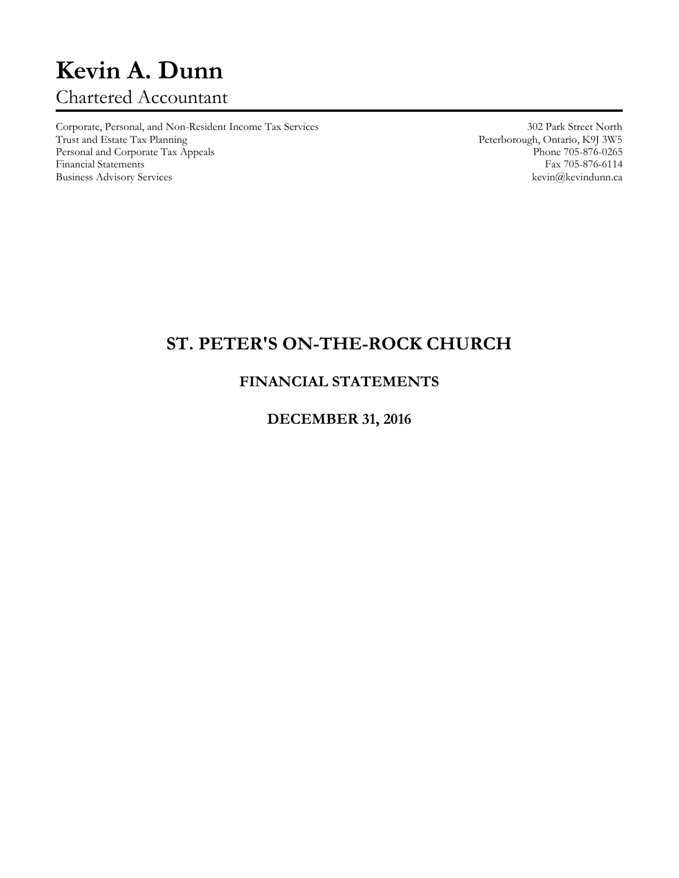# **Kevin A. Dunn** Chartered Accountant

Corporate, Personal, and Non-Resident Income Tax Services 302 Park Street North Personal and Corporate Tax Appeals Phone 705-876-0265<br>
Phone 705-876-0265<br>
Pax 705-876-6114 Financial Statements Fax 705-876-6114<br>Business Advisory Services Revinanceae Revinanceae Revinanceae Revinanceae Revinanceae Revinanceae Revinanceae Business Advisory Services

Peterborough, Ontario, K9J 3W5<br>Phone 705-876-0265

## **ST. PETER'S ON-THE-ROCK CHURCH**

### **FINANCIAL STATEMENTS**

#### **DECEMBER 31, 2016**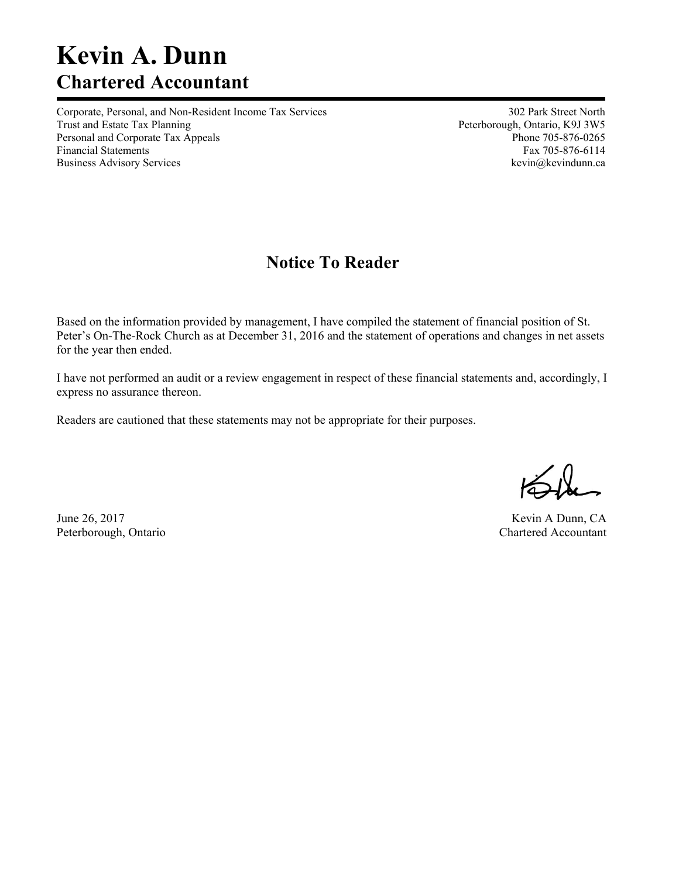# **Kevin A. Dunn Chartered Accountant**

Corporate, Personal, and Non-Resident Income Tax Services 302 Park Street North Trust and Estate Tax Planning Trust and Estate Tax Planning Peterborough, Ontario, K9J 3W5 Personal and Corporate Tax Appeals **Phone 705-876-0265** Phone 705-876-0265 Financial Statements Fax 705-876-6114 Business Advisory Services **and Services** kevin@kevindunn.ca

## **Notice To Reader**

Based on the information provided by management, I have compiled the statement of financial position of St. Peter's On-The-Rock Church as at December 31, 2016 and the statement of operations and changes in net assets for the year then ended.

I have not performed an audit or a review engagement in respect of these financial statements and, accordingly, I express no assurance thereon.

Readers are cautioned that these statements may not be appropriate for their purposes.

June 26, 2017 Kevin A Dunn, CA Peterborough, Ontario Chartered Accountant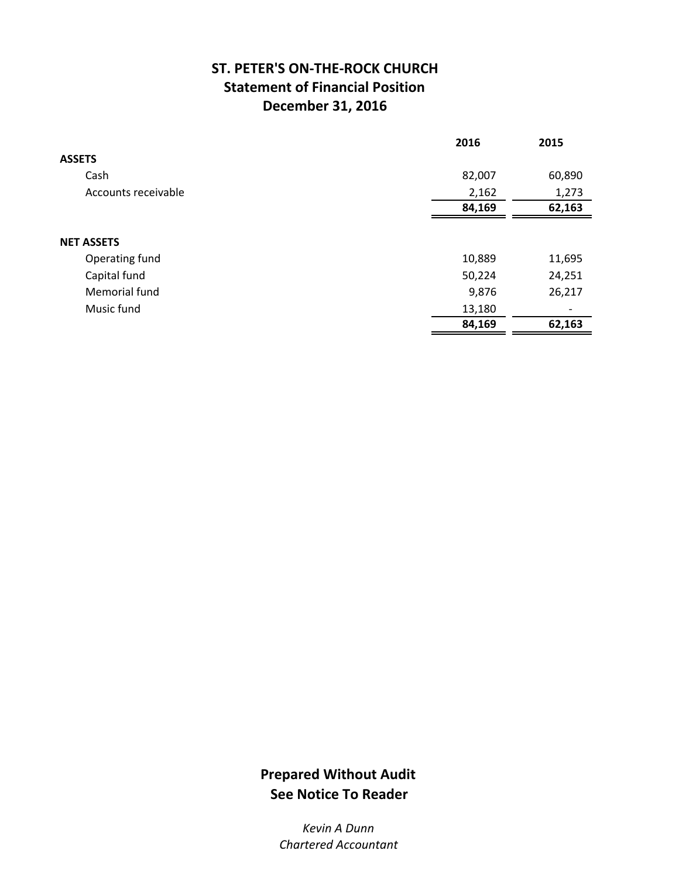## **ST. PETER'S ON‐THE‐ROCK CHURCH Statement of Financial Position December 31, 2016**

|                     | 2016   | 2015                     |
|---------------------|--------|--------------------------|
| <b>ASSETS</b>       |        |                          |
| Cash                | 82,007 | 60,890                   |
| Accounts receivable | 2,162  | 1,273                    |
|                     | 84,169 | 62,163                   |
|                     |        |                          |
| <b>NET ASSETS</b>   |        |                          |
| Operating fund      | 10,889 | 11,695                   |
| Capital fund        | 50,224 | 24,251                   |
| Memorial fund       | 9,876  | 26,217                   |
| Music fund          | 13,180 | $\overline{\phantom{a}}$ |
|                     | 84,169 | 62,163                   |

## **Prepared Without Audit See Notice To Reader**

*Kevin A Dunn Chartered Accountant*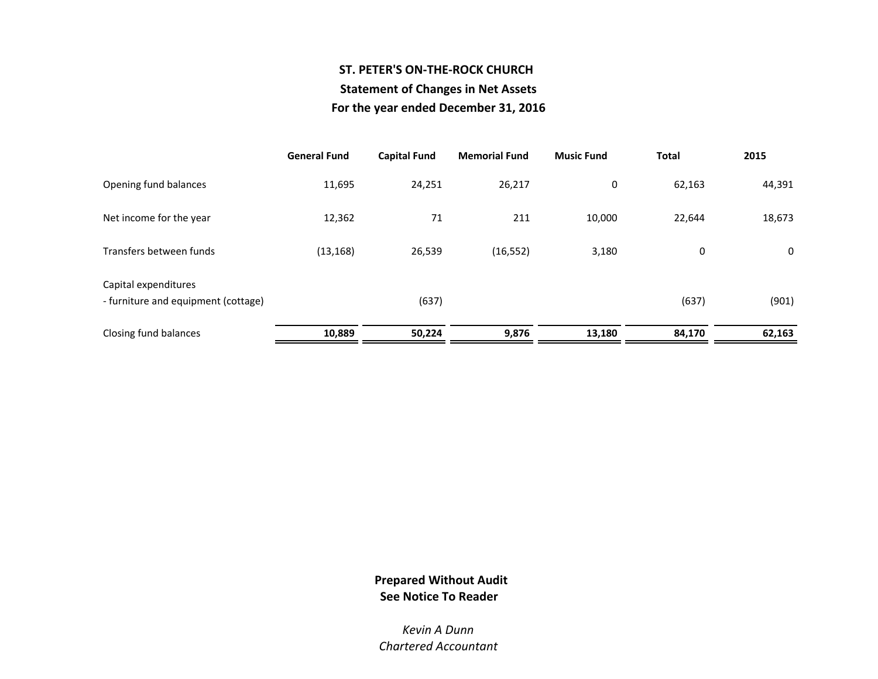### **ST. PETER'S ON‐THE‐ROCK CHURCHStatement of Changes in Net Assets For the year ended December 31, 2016**

|                                                             | <b>General Fund</b> | <b>Capital Fund</b> | <b>Memorial Fund</b> | <b>Music Fund</b> | <b>Total</b> | 2015   |
|-------------------------------------------------------------|---------------------|---------------------|----------------------|-------------------|--------------|--------|
| Opening fund balances                                       | 11,695              | 24,251              | 26,217               | 0                 | 62,163       | 44,391 |
| Net income for the year                                     | 12,362              | 71                  | 211                  | 10,000            | 22,644       | 18,673 |
| Transfers between funds                                     | (13, 168)           | 26,539              | (16, 552)            | 3,180             | 0            | 0      |
| Capital expenditures<br>- furniture and equipment (cottage) |                     | (637)               |                      |                   | (637)        | (901)  |
| Closing fund balances                                       | 10,889              | 50,224              | 9,876                | 13,180            | 84,170       | 62,163 |

#### **Prepared Without Audit See Notice To Reader**

*Kevin A DunnChartered Accountant*